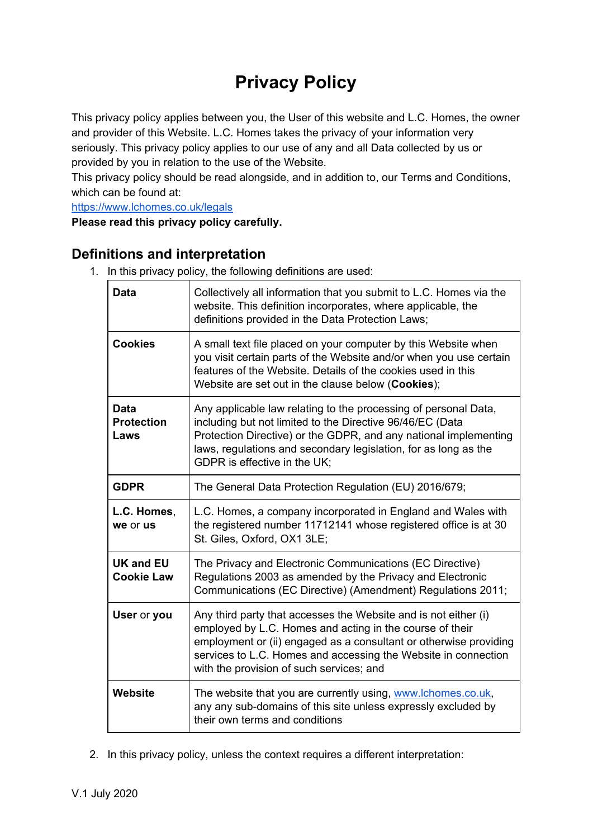# **Privacy Policy**

This privacy policy applies between you, the User of this website and L.C. Homes, the owner and provider of this Website. L.C. Homes takes the privacy of your information very seriously. This privacy policy applies to our use of any and all Data collected by us or provided by you in relation to the use of the Website.

This privacy policy should be read alongside, and in addition to, our Terms and Conditions, which can be found at:

<https://www.lchomes.co.uk/legals>

**Please read this privacy policy carefully.**

# **Definitions and interpretation**

1. In this privacy policy, the following definitions are used:

| <b>Data</b>                           | Collectively all information that you submit to L.C. Homes via the<br>website. This definition incorporates, where applicable, the<br>definitions provided in the Data Protection Laws;                                                                                                                        |
|---------------------------------------|----------------------------------------------------------------------------------------------------------------------------------------------------------------------------------------------------------------------------------------------------------------------------------------------------------------|
| <b>Cookies</b>                        | A small text file placed on your computer by this Website when<br>you visit certain parts of the Website and/or when you use certain<br>features of the Website. Details of the cookies used in this<br>Website are set out in the clause below (Cookies);                                                     |
| Data<br><b>Protection</b><br>Laws     | Any applicable law relating to the processing of personal Data,<br>including but not limited to the Directive 96/46/EC (Data<br>Protection Directive) or the GDPR, and any national implementing<br>laws, regulations and secondary legislation, for as long as the<br>GDPR is effective in the UK;            |
| <b>GDPR</b>                           | The General Data Protection Regulation (EU) 2016/679;                                                                                                                                                                                                                                                          |
| L.C. Homes,<br>we or us               | L.C. Homes, a company incorporated in England and Wales with<br>the registered number 11712141 whose registered office is at 30<br>St. Giles, Oxford, OX1 3LE;                                                                                                                                                 |
| <b>UK and EU</b><br><b>Cookie Law</b> | The Privacy and Electronic Communications (EC Directive)<br>Regulations 2003 as amended by the Privacy and Electronic<br>Communications (EC Directive) (Amendment) Regulations 2011;                                                                                                                           |
| User or you                           | Any third party that accesses the Website and is not either (i)<br>employed by L.C. Homes and acting in the course of their<br>employment or (ii) engaged as a consultant or otherwise providing<br>services to L.C. Homes and accessing the Website in connection<br>with the provision of such services; and |
| <b>Website</b>                        | The website that you are currently using, www.lchomes.co.uk,<br>any any sub-domains of this site unless expressly excluded by<br>their own terms and conditions                                                                                                                                                |

2. In this privacy policy, unless the context requires a different interpretation: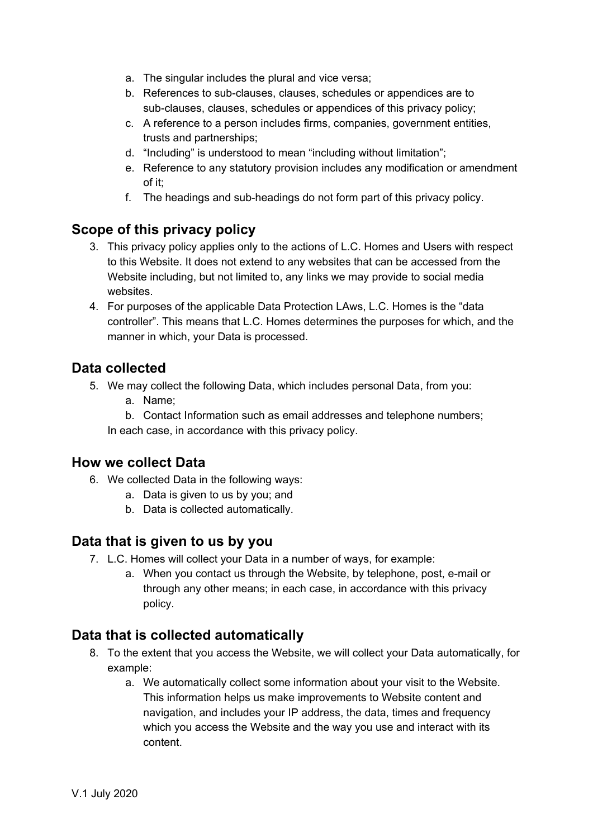- a. The singular includes the plural and vice versa;
- b. References to sub-clauses, clauses, schedules or appendices are to sub-clauses, clauses, schedules or appendices of this privacy policy;
- c. A reference to a person includes firms, companies, government entities, trusts and partnerships;
- d. "Including" is understood to mean "including without limitation";
- e. Reference to any statutory provision includes any modification or amendment of it;
- f. The headings and sub-headings do not form part of this privacy policy.

## **Scope of this privacy policy**

- 3. This privacy policy applies only to the actions of L.C. Homes and Users with respect to this Website. It does not extend to any websites that can be accessed from the Website including, but not limited to, any links we may provide to social media websites.
- 4. For purposes of the applicable Data Protection LAws, L.C. Homes is the "data controller". This means that L.C. Homes determines the purposes for which, and the manner in which, your Data is processed.

## **Data collected**

- 5. We may collect the following Data, which includes personal Data, from you:
	- a. Name;
	- b. Contact Information such as email addresses and telephone numbers;

In each case, in accordance with this privacy policy.

#### **How we collect Data**

- 6. We collected Data in the following ways:
	- a. Data is given to us by you; and
	- b. Data is collected automatically.

#### **Data that is given to us by you**

- 7. L.C. Homes will collect your Data in a number of ways, for example:
	- a. When you contact us through the Website, by telephone, post, e-mail or through any other means; in each case, in accordance with this privacy policy.

#### **Data that is collected automatically**

- 8. To the extent that you access the Website, we will collect your Data automatically, for example:
	- a. We automatically collect some information about your visit to the Website. This information helps us make improvements to Website content and navigation, and includes your IP address, the data, times and frequency which you access the Website and the way you use and interact with its content.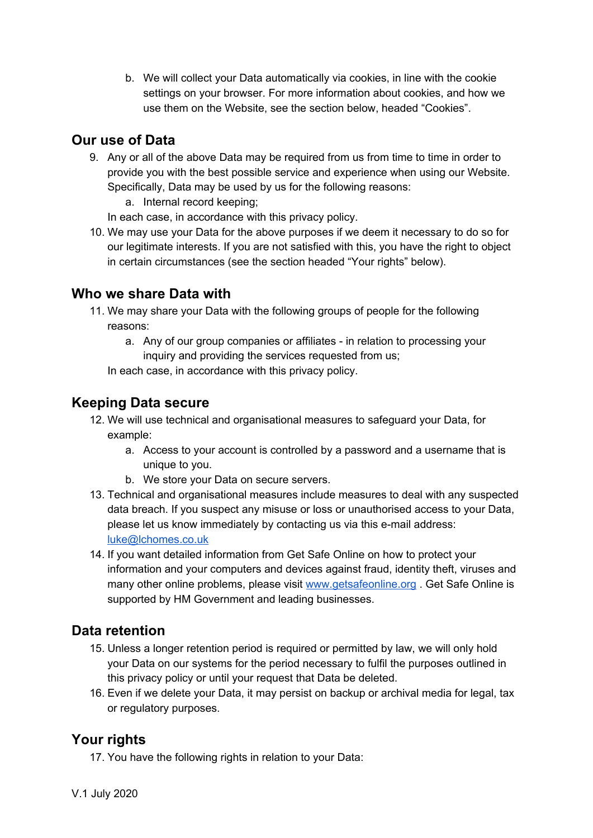b. We will collect your Data automatically via cookies, in line with the cookie settings on your browser. For more information about cookies, and how we use them on the Website, see the section below, headed "Cookies".

# **Our use of Data**

- 9. Any or all of the above Data may be required from us from time to time in order to provide you with the best possible service and experience when using our Website. Specifically, Data may be used by us for the following reasons:
	- a. Internal record keeping;

In each case, in accordance with this privacy policy.

10. We may use your Data for the above purposes if we deem it necessary to do so for our legitimate interests. If you are not satisfied with this, you have the right to object in certain circumstances (see the section headed "Your rights" below).

## **Who we share Data with**

- 11. We may share your Data with the following groups of people for the following reasons:
	- a. Any of our group companies or affiliates in relation to processing your inquiry and providing the services requested from us;

In each case, in accordance with this privacy policy.

## **Keeping Data secure**

- 12. We will use technical and organisational measures to safeguard your Data, for example:
	- a. Access to your account is controlled by a password and a username that is unique to you.
	- b. We store your Data on secure servers.
- 13. Technical and organisational measures include measures to deal with any suspected data breach. If you suspect any misuse or loss or unauthorised access to your Data, please let us know immediately by contacting us via this e-mail address: [luke@lchomes.co.uk](mailto:luke@lchomes.co.uk)
- 14. If you want detailed information from Get Safe Online on how to protect your information and your computers and devices against fraud, identity theft, viruses and many other online problems, please visit [www.getsafeonline.org](http://www.getsafeonline.org/) . Get Safe Online is supported by HM Government and leading businesses.

# **Data retention**

- 15. Unless a longer retention period is required or permitted by law, we will only hold your Data on our systems for the period necessary to fulfil the purposes outlined in this privacy policy or until your request that Data be deleted.
- 16. Even if we delete your Data, it may persist on backup or archival media for legal, tax or regulatory purposes.

# **Your rights**

17. You have the following rights in relation to your Data: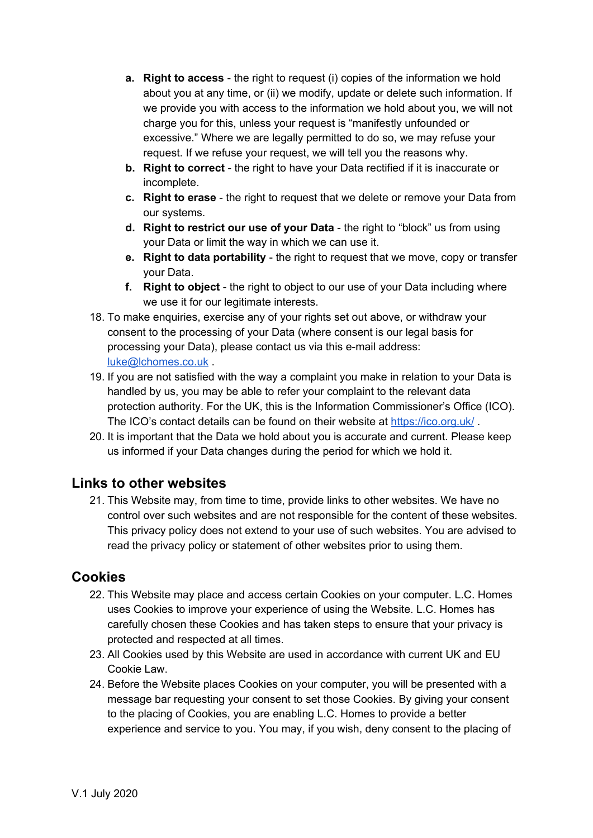- **a. Right to access** the right to request (i) copies of the information we hold about you at any time, or (ii) we modify, update or delete such information. If we provide you with access to the information we hold about you, we will not charge you for this, unless your request is "manifestly unfounded or excessive." Where we are legally permitted to do so, we may refuse your request. If we refuse your request, we will tell you the reasons why.
- **b. Right to correct** the right to have your Data rectified if it is inaccurate or incomplete.
- **c. Right to erase** the right to request that we delete or remove your Data from our systems.
- **d. Right to restrict our use of your Data** the right to "block" us from using your Data or limit the way in which we can use it.
- **e. Right to data portability** the right to request that we move, copy or transfer your Data.
- **f. Right to object** the right to object to our use of your Data including where we use it for our legitimate interests.
- 18. To make enquiries, exercise any of your rights set out above, or withdraw your consent to the processing of your Data (where consent is our legal basis for processing your Data), please contact us via this e-mail address: [luke@lchomes.co.uk](mailto:luke@lchomes.co.uk) .
- 19. If you are not satisfied with the way a complaint you make in relation to your Data is handled by us, you may be able to refer your complaint to the relevant data protection authority. For the UK, this is the Information Commissioner's Office (ICO). The ICO's contact details can be found on their website at <https://ico.org.uk/> .
- 20. It is important that the Data we hold about you is accurate and current. Please keep us informed if your Data changes during the period for which we hold it.

# **Links to other websites**

21. This Website may, from time to time, provide links to other websites. We have no control over such websites and are not responsible for the content of these websites. This privacy policy does not extend to your use of such websites. You are advised to read the privacy policy or statement of other websites prior to using them.

# **Cookies**

- 22. This Website may place and access certain Cookies on your computer. L.C. Homes uses Cookies to improve your experience of using the Website. L.C. Homes has carefully chosen these Cookies and has taken steps to ensure that your privacy is protected and respected at all times.
- 23. All Cookies used by this Website are used in accordance with current UK and EU Cookie Law.
- 24. Before the Website places Cookies on your computer, you will be presented with a message bar requesting your consent to set those Cookies. By giving your consent to the placing of Cookies, you are enabling L.C. Homes to provide a better experience and service to you. You may, if you wish, deny consent to the placing of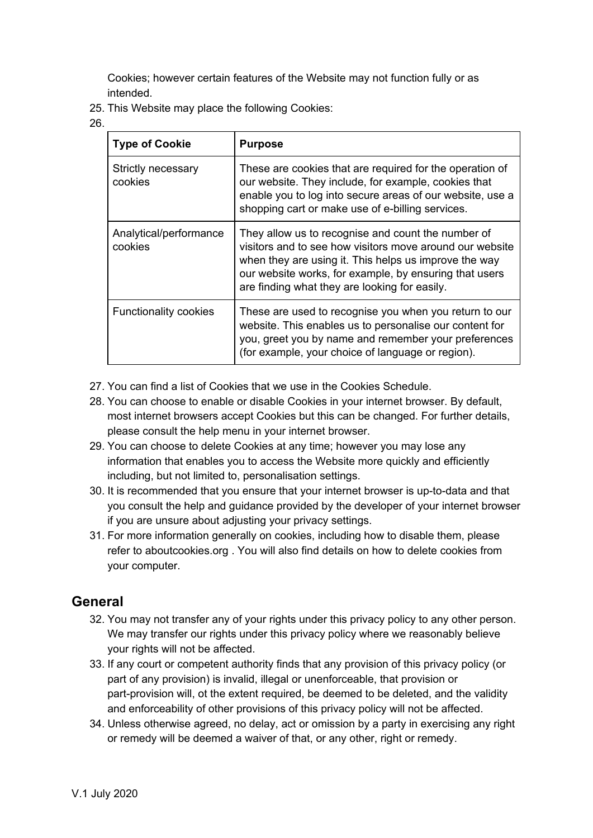Cookies; however certain features of the Website may not function fully or as intended.

25. This Website may place the following Cookies:

26.

| <b>Type of Cookie</b>             | <b>Purpose</b>                                                                                                                                                                                                                                                                     |  |
|-----------------------------------|------------------------------------------------------------------------------------------------------------------------------------------------------------------------------------------------------------------------------------------------------------------------------------|--|
| Strictly necessary<br>cookies     | These are cookies that are required for the operation of<br>our website. They include, for example, cookies that<br>enable you to log into secure areas of our website, use a<br>shopping cart or make use of e-billing services.                                                  |  |
| Analytical/performance<br>cookies | They allow us to recognise and count the number of<br>visitors and to see how visitors move around our website<br>when they are using it. This helps us improve the way<br>our website works, for example, by ensuring that users<br>are finding what they are looking for easily. |  |
| <b>Functionality cookies</b>      | These are used to recognise you when you return to our<br>website. This enables us to personalise our content for<br>you, greet you by name and remember your preferences<br>(for example, your choice of language or region).                                                     |  |

- 27. You can find a list of Cookies that we use in the Cookies Schedule.
- 28. You can choose to enable or disable Cookies in your internet browser. By default, most internet browsers accept Cookies but this can be changed. For further details, please consult the help menu in your internet browser.
- 29. You can choose to delete Cookies at any time; however you may lose any information that enables you to access the Website more quickly and efficiently including, but not limited to, personalisation settings.
- 30. It is recommended that you ensure that your internet browser is up-to-data and that you consult the help and guidance provided by the developer of your internet browser if you are unsure about adjusting your privacy settings.
- 31. For more information generally on cookies, including how to disable them, please refer to aboutcookies.org . You will also find details on how to delete cookies from your computer.

#### **General**

- 32. You may not transfer any of your rights under this privacy policy to any other person. We may transfer our rights under this privacy policy where we reasonably believe your rights will not be affected.
- 33. If any court or competent authority finds that any provision of this privacy policy (or part of any provision) is invalid, illegal or unenforceable, that provision or part-provision will, ot the extent required, be deemed to be deleted, and the validity and enforceability of other provisions of this privacy policy will not be affected.
- 34. Unless otherwise agreed, no delay, act or omission by a party in exercising any right or remedy will be deemed a waiver of that, or any other, right or remedy.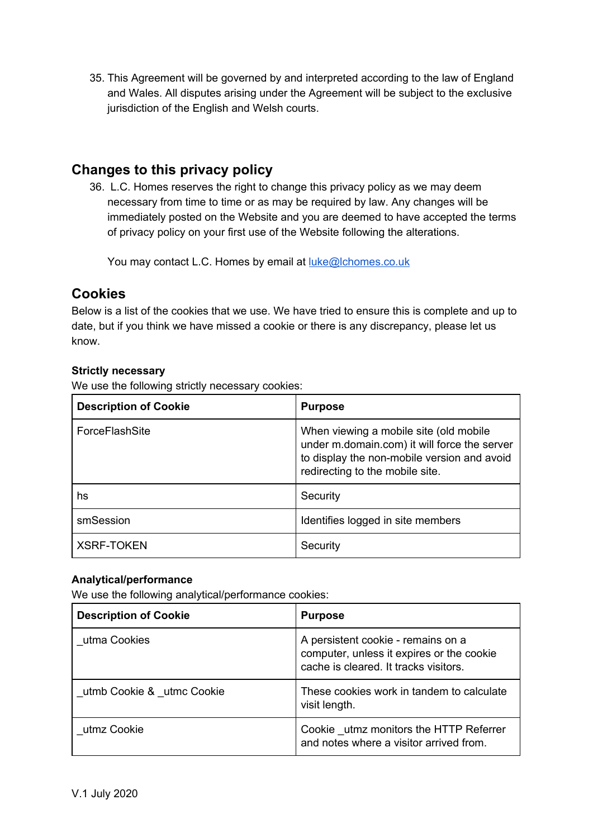35. This Agreement will be governed by and interpreted according to the law of England and Wales. All disputes arising under the Agreement will be subject to the exclusive jurisdiction of the English and Welsh courts.

# **Changes to this privacy policy**

36. L.C. Homes reserves the right to change this privacy policy as we may deem necessary from time to time or as may be required by law. Any changes will be immediately posted on the Website and you are deemed to have accepted the terms of privacy policy on your first use of the Website following the alterations.

You may contact L.C. Homes by email at [luke@lchomes.co.uk](mailto:luke@lchomes.co.uk)

## **Cookies**

Below is a list of the cookies that we use. We have tried to ensure this is complete and up to date, but if you think we have missed a cookie or there is any discrepancy, please let us know.

#### **Strictly necessary**

We use the following strictly necessary cookies:

| <b>Description of Cookie</b> | <b>Purpose</b>                                                                                                                                                           |
|------------------------------|--------------------------------------------------------------------------------------------------------------------------------------------------------------------------|
| ForceFlashSite               | When viewing a mobile site (old mobile<br>under m.domain.com) it will force the server<br>to display the non-mobile version and avoid<br>redirecting to the mobile site. |
| hs                           | Security                                                                                                                                                                 |
| smSession                    | Identifies logged in site members                                                                                                                                        |
| <b>XSRF-TOKEN</b>            | Security                                                                                                                                                                 |

#### **Analytical/performance**

We use the following analytical/performance cookies:

| <b>Description of Cookie</b> | <b>Purpose</b>                                                                                                           |
|------------------------------|--------------------------------------------------------------------------------------------------------------------------|
| utma Cookies                 | A persistent cookie - remains on a<br>computer, unless it expires or the cookie<br>cache is cleared. It tracks visitors. |
| utmb Cookie & utmc Cookie    | These cookies work in tandem to calculate<br>visit length.                                                               |
| utmz Cookie                  | Cookie _utmz monitors the HTTP Referrer<br>and notes where a visitor arrived from.                                       |